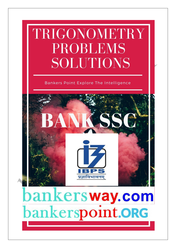# TRIGONOMETRY **PROBLEMS SOLUTIONS**

## Bankers Point Explore The Intelligence



# bankersway.com bankerspoint.ORG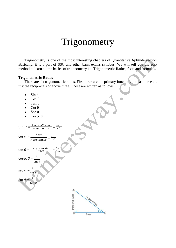# Trigonometry

Trigonometry is one of the most interesting chapters of Quantitative Aptitude section. Basically, it is a part of SSC and other bank exams syllabus. We will tell you the easy method to learn all the basics of trigonometry i.e. Trigonometric Ratios, facts and formulas.

#### **Trigonometric Ratios**

There are six trigonometric ratios. First three are the primary functions and last three are just the reciprocals of above three. Those are written as follows:

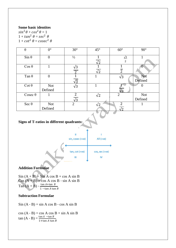#### **Some basic identites**

 $sin^2\theta + cos^2\theta = 1$  $1 + tan^2 \theta = sec^2$  $1 + \cot^2 \theta = \csc^2$ 

| $\theta$       | $0^{\circ}$           | $30^\circ$                   | $45^{\circ}$                          | $60^{\circ}$                 | $90^\circ$            |
|----------------|-----------------------|------------------------------|---------------------------------------|------------------------------|-----------------------|
| $Sin \theta$   | $\overline{0}$        | $\frac{1}{2}$                | $\sqrt{2}$                            | $\sqrt{3}$<br>2              |                       |
| $\cos \theta$  |                       | $\sqrt{3}$<br>$\overline{2}$ | $\mathbf{1}$<br>$\overline{\sqrt{2}}$ | $\overline{2}$               | O                     |
| Tan $\theta$   | $\boldsymbol{0}$      | $\sqrt{3}$                   | 1                                     | $\sqrt{3}$                   | Not<br>Defined        |
| $\cot \theta$  | <b>Not</b><br>Defined | $\sqrt{3}$                   |                                       | /२                           |                       |
| Cosec $\theta$ |                       | $\overline{2}$<br>$\sqrt{3}$ | $\sqrt{2}$                            | $\overline{2}$               | <b>Not</b><br>Defined |
| Sec θ          | <b>Not</b><br>Defined | 2                            |                                       | $\overline{2}$<br>$\sqrt{2}$ |                       |

### **Signs of T-ratios in different quadrants:**



#### **Addition Formulae**

 $\sin (A + B) = \sin A \cos B + \cos A \sin B$  $\cos (A + B) = \cos A \cos B - \sin A \sin B$  $Tan (A + B)$ tan  $A$ +tan  $B$  $\overline{1 - \tan A \tan B}$ 

#### **Subtraction Formulae**

 $Sin (A - B) = sin A cos B - cos A sin B$ 

 $cos (A - B) = cos A cos B + sin A sin B$  $\tan (A - B) = \frac{\tan A - \tan B}{1 + \tan A \tan A}$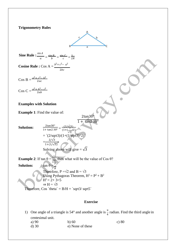**Trigonometry Rules**



Sine Rule : 
$$
\frac{\sin A}{a} = \frac{\sin B}{b} = \frac{\sin C}{c} = \frac{1}{2R}
$$

**Cosine Rule :** Cos A =  $\frac{b^2 + c^2 - a^2}{2a}$  $2<sub>b</sub>$ 

 $\cos B = \frac{a^2 + c^2 - b^2}{2ac}$  $2a$ 

 $\cos C = \frac{a^2 + b^2 - c^2}{2ab}$  $2a$ 

#### **Examples with Solution**

**Example 1**: Find the value of:

$$
\frac{2\tan 30^{\circ}}{1 + \tan 230^{\circ}}
$$

**Solution:**  $\frac{2\tan 30^{\circ}}{1+\tan 230^{\circ}} = \frac{(2/\sqrt{3})}{(1+(\frac{1}{\sqrt{3}})^2)}$ 

=  $\frac{2/\sqrt{3}}{1+(1/\sqrt{3})^2}$ Solving above will give =  $\sqrt{3}$ 

 $=$   $(2/sqrt3)/(1+(1/sqrt3)^{2})$ 

**Example 2**: If  $\tan \theta = \frac{\sqrt{2}}{\sqrt{3}}$ , then what will be the value of Cos  $\theta$ ?<br>**Solution:**  $\tan \theta = 2$  $\tan \theta = \frac{1}{B}$ Therefore, P = $\sqrt{2}$  and B =  $\sqrt{3}$ Using Pythagoras Theorem,  $H^2 = P^2 + B^2$ 

 $H^2 = 2 + 3 = 5$  $\Rightarrow$  H =  $\sqrt{5}$ Therefore,  $Cos \text{`theta} = B/H = \text{`sqrt3/sqrt5}$ 

#### **Exercise**

- 1) One angle of a triangle is 54° and another angle is  $\frac{\pi}{4}$  radian. Find the third angle in centesimal unit. a) 90 b) 60 c) 80
	- d) 30 e) None of these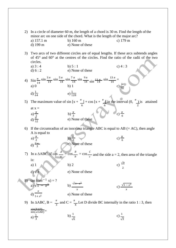2) In a circle of diameter 60 m, the length of a chord is 30 m. Find the length of the  
\nminor arc on one side of the chord. What is the length of the major arc?  
\na) 157.1 m b) 160 m  
\nb) 160 m  
\nc) 179 m  
\n3) Two arcs of two different circles are of equal lengths. If these arcs subtends angles  
\nof 45° and 60° at the centres of the circles. Find the ratio of the radii of the two  
\ncircles  
\na) 3 : 4  
\nb) 5 : 1  
\nc) 4 : 3  
\na) 0  
\n1 
$$
\frac{\pi}{14}
$$
 sin  $\frac{3\pi}{14}$  sin  $\frac{5\pi}{14}$  sin  $\frac{\pi}{14}$  sin  $\frac{9\pi}{14}$  sin  $\frac{11\pi}{14}$  sin  $\frac{13\pi}{14}$  =  
\na) 0  
\n1  $\frac{1}{64}$  b)  $\frac{1}{128}$   
\nc) None of these  
\n4) Sin  $\frac{\pi}{14}$  sin  $\frac{5\pi}{14}$  sin  $\frac{\pi}{14}$  sin  $\frac{\pi}{14}$  sin  $\frac{11\pi}{14}$  sin  $\frac{13\pi}{14}$  =  
\na) 0  
\n1  $\frac{1}{28}$   
\nb)  $\frac{\pi}{3}$   
\nc)  $\frac{\pi}{6}$   
\nd)  $\frac{\pi}{12}$   
\n5) The maximum value of sin  $[x + \frac{\pi}{6}]$  + cos  $[x + \frac{\pi}{6}]$  in the interval (0,  $\frac{\pi}{2}$ ) is attained  
\nat  $x = \frac{\pi}{2}$   
\n6) If the circumradius of an isoccles triangle ABC is equal to AB (= AC), then angle  
\nA is equal to  
\na)  $\frac{\pi}{2}$   
\nb)  $\frac{\pi}{3}$   
\nc) None of these  
\n7) In a AABC, if cos  $\frac{a}{a} = \cos \frac{b}{b} = \cos \frac{c}{c}$  and the side a = 2, then area of the triangle  
\nis:  
\na) 1  
\nb) 2  
\nc)  $\frac{\sqrt{3}}{2}$   
\nd)  $\frac{\sqrt{3}}{1 + x^2}$   
\ne) None of these  
\n9) In AABC, B =  $\$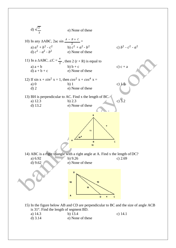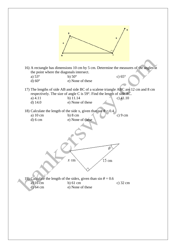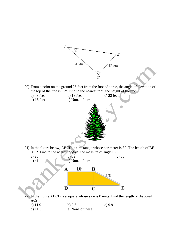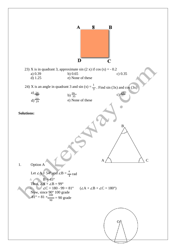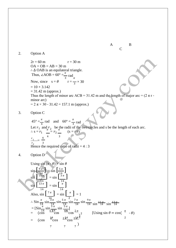

#### 2. Option A

4  $2r = 60 \text{ m}$   $r = 30 \text{ m}$  $OA = OB = AB = 30 m$ ∴ ∆ OAB is an equilateral triangle. Thus,  $\angle AOB = 60^\circ = \frac{\pi}{3} \text{ rad}_\pi$ Now, since  $s = \theta$  $= 10 \times 3.142$  $= 31.42$  m (approx.)  $r = \frac{1}{3} \times 30$ Thus the length of minor arc ACB = 31.42 m and the length of major arc =  $(2 \pi r$ minor arc)  $= 2 \pi \times 30 - 31.42 = 157.1$  m (approx.) 3. Option C  $45^{\circ} = \frac{\pi}{4}$  rad and  $60^{\circ} = \frac{\pi}{3}$  rad Let  $r_1$  and  $r_2$  be the radii of the two circles and s be the length of each arc.  $\therefore s = r_1 \frac{\pi^2}{1 - \pi^2} = r_2 \frac{\pi}{1 - \pi} \quad (s = r\theta)$  $\frac{r_1}{\sqrt{r_1}}$ 4 3  $\frac{r_1}{r_2} = \frac{1}{3}$ 

Hence the required ratio of radii  $= 4:3$ 

4. Option D

Using 
$$
\sin (\pi - \theta) = \sin \theta
$$
  
\n $\sin \left[\frac{9\pi}{14}\right] = \sin \left[\frac{5\pi}{14}\right]$   
\n $\sin \left[\frac{13\pi}{14}\right] = \sin \left[\frac{\pi}{14}\right]$   
\n $\sin \left[\frac{13\pi}{14}\right] = \sin \left[\frac{\pi}{14}\right]$   
\nAlso,  $\sin \left[\frac{7\pi}{14}\right] = \sin \left[\frac{\pi}{14}\right] = 1$   
\n $\therefore \sin \frac{\pi}{14} \sin \frac{3\pi}{14} \sin \frac{5\pi}{14} \sin \frac{7\pi}{14} \sin \frac{9\pi}{14} \sin \frac{11\pi}{14} \sin \frac{13\pi}{14}$   
\n $= [\sin \frac{\pi}{14} \sin \frac{3\pi}{6} \sin \frac{5\pi}{6} \cos \frac{2\pi}{6} \cos \frac{2\pi}{6} \cos \frac{2\pi}{6} \cos \frac{11\pi}{6} \cos \frac{3\pi}{6} \cos \frac{3\pi}{6} \cos \frac{3\pi}{6} \cos \frac{3\pi}{6} \cos \frac{3\pi}{6} \cos \frac{3\pi}{6} \cos \frac{3\pi}{6} \cos \frac{3\pi}{6} \cos \frac{3\pi}{6} \cos \frac{3\pi}{6} \cos \frac{3\pi}{6} \cos \frac{3\pi}{6} \cos \frac{3\pi}{6} \cos \frac{3\pi}{6} \cos \frac{3\pi}{6} \cos \frac{3\pi}{6} \cos \frac{3\pi}{6} \cos \frac{3\pi}{6} \cos \frac{3\pi}{6} \cos \frac{3\pi}{6} \cos \frac{3\pi}{6} \cos \frac{3\pi}{6} \cos \frac{3\pi}{6} \cos \frac{3\pi}{6} \cos \frac{3\pi}{6} \cos \frac{3\pi}{6} \cos \frac{3\pi}{6} \cos \frac{3\pi}{6} \cos \frac{3\pi}{6} \cos \frac{3\pi}{6} \cos \frac{3\pi}{6} \cos \frac{3\pi}{6} \cos \frac{3\pi}{6} \cos \frac{3\pi}{6} \cos \frac{3\pi}{6} \cos \frac{3\pi}{6} \cos \frac{3\pi}{6}$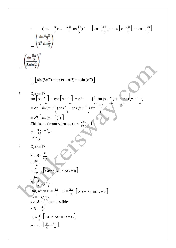$$
= -\left(\cos \frac{\pi}{2} \cos \frac{2\pi}{2} \cos \frac{4\pi}{2}\right)^2 - \left[\cos \left[\frac{3\pi}{2}\right] \cos \left[\frac{\pi}{2} + \frac{4\pi}{2}\right] \right] = -\cos \left[\frac{4\pi}{2}\right]
$$
\n
$$
= \left(\frac{\sin \frac{6\pi}{7}}{2^3 \sin \frac{\pi}{7}}\right)^2
$$
\n
$$
= \left(\frac{\sin \frac{8\pi}{7}}{8 \sin \frac{\pi}{7}}\right)^2
$$
\n
$$
= \frac{1}{8 \sin \left[\frac{\pi}{7}\right]} + \cos \left[\frac{\pi}{4} + \frac{\pi}{4}\right] = \sqrt{2} - \left[\frac{1}{2} \sin \left(\frac{\pi}{4} + \frac{\pi}{4}\right) + \frac{\pi}{4}\right]
$$
\n
$$
= \sqrt{2} \left[\sin \left(\frac{\pi}{4} + \frac{\pi}{12}\right) \cos \frac{\pi}{4} + \cos \left(\frac{\pi}{4} + \frac{\pi}{12}\right) \sin \frac{\pi}{4}\right]
$$
\n
$$
= \sqrt{2} \left[\sin \left(\frac{\pi}{4} + \frac{\pi}{12}\right)\right]
$$
\nThis is maximum when  $\sin \left(\frac{\pi}{4} + \frac{5\pi}{12}\right) = \pi$   
\n
$$
= \frac{\pi}{2} - \frac{\pi}{2}
$$
\n
$$
= \frac{\pi}{2\pi}
$$
\n
$$
= \frac{4\pi}{2}
$$
\n
$$
= \frac{\pi}{2\pi}
$$
\nGiven AB = AC = R]  
\n
$$
= \frac{1}{2}
$$
\n
$$
= \frac{1}{2}
$$
\n
$$
= \frac{1}{2}
$$
\n
$$
= \frac{1}{2}
$$
\n
$$
= \frac{1}{2}
$$
\nSo, B =  $\frac{\pi}{6}$   
\n
$$
= \frac{\pi}{6}
$$
 and possible  
\n
$$
B = \frac{\pi}{6}
$$
\n
$$
C = \frac{\pi}{6}
$$
 [AB = AC  $\Rightarrow$  B = C]  
\n
$$
A = \pi - \left[\frac{\pi}{6} + \frac{\pi}{6}\right]
$$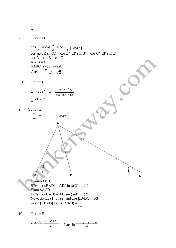$$
A = \frac{2\pi}{3}
$$

7. Option D

 $\cos \frac{A}{A}$  $\frac{A}{a}$  = cos  $\frac{B}{b}$  $\frac{B}{b}$  = cos  $\frac{C}{c}$  $\frac{1}{c}$  [Given]  $\cos A/(2R \sin A) = \cos B/(2R \sin B) = \cos C/(2R \sin C)$  $\cot A = \cot B = \cot C$  $A = B = C$ ∆ABC is equilateral. Area =  $\frac{\sqrt{3}}{4} a^2 = \sqrt{3}$ 

8. Option C

$$
\tan (cos^{-1} x) = \frac{\sin(cos^{-1} x)}{\cos(cos^{-1} x)}
$$

$$
= \frac{\sqrt{1 - x^2}}{x}
$$

[Given]

9. Option B  $\frac{BD}{2} = \frac{1}{2}$ 

 $DC \qquad 3$ 

$$
\left(\frac{1}{\sqrt{2}}\right)^{2}
$$

From ∆ABD, BD/sin (∠BAD) = AD/sin ( $\pi$ /3) ... (1) From ∆ACD, DC/sin (∠CAD) = AD/sin (π/4) ... (2) Now, divide (1) by (2) and use  $BD/DC = 1/3$  $\Rightarrow$  sin (∠BAD) / sin (∠CAD) =  $\frac{1}{2}$ √6

 $\frac{1}{4}$ 

C

10. Option B

2 ac sin 
$$
\frac{A - B + C}{2}
$$
 = 2 ac sin  $\frac{A + B + C - 2B}{2}$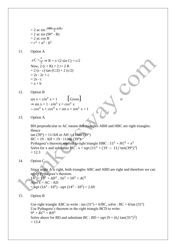- $= 2$  ac sin  $\frac{180°}{ }$ 2  $= 2$  ac sin (90 $^{\circ}$  - B)  $= 2$  ac cos B  $= c^2 + a^2 - b^2$
- 11. Option A

 $\angle C = \frac{\pi}{2} \Rightarrow R = c/(2 \sin C) = c/2$ Now, 2  $(r + R) = 2 r + 2 R$  $= 2$  (s - c) tan (C/2) + 2 (c/2)  $= 2s - 2c + c$  $= 2s - c$  $=$  a + b

12. Option B

 $\sin x + \sin^2 x = 1$  [Given]  $\Rightarrow$  sin x = 1 - sin<sup>2</sup> x = cos<sup>2</sup> x  $\therefore \cos^2 x + \cos^4 x = \sin x + \sin^2 x = 1$ 

13. Option A

BH perpendicular to AC means that triangles ABH and HBC are right triangles. Hence  $\tan (39^{\circ}) = 11/AH$  or  $AH = 11/tan (39^{\circ})$  $HC = 19 - AH = 19 - 11/tan (39°)$ Pythagora's theorem applied to right triangle HBC :  $11^2 + HC^2 = x^2$ Solve for x and substitute  $HC: x = sqrt [11^2 + (19 - 11/tan(39°)^2]$  $= 12.3$ 

14. Option C

Since angle  $A$  is right, both triangles ABC and ABD are right and therefore we can apply Pythagora's theorem.

 $14^2 = 10^2 + AD^2$ ,  $16^2 = 10^2 + AC^2$ Also  $x = AC - AD$  $=$  sqrt (16<sup>2</sup> - 10<sup>2</sup>) - sqrt (14<sup>2</sup> - 10<sup>2</sup>) = 2.69

15. Option B

Use right triangle ABC to write : tan  $(31^{\circ}) = 6/BC$ , solve : BC = 6/tan  $(31^{\circ})$ Use Pythagora's theorem in the right triangle BCD to write:  $9^2 + BC^2 = BD^2$ Solve above for BD and substitute BC : BD = sqrt  $[9 + (6/\tan(31^\circ)^2)]$  $= 13.4$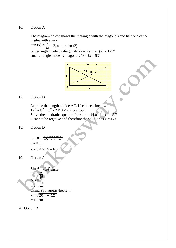#### 16. Option A

The diagram below shows the rectangle with the diagonals and half one of the angles with size x.

 $tan (x) = \frac{5}{2.5} = 2$ , x = arctan (2) larger angle made by diagonals  $2x = 2 \arctan (2) = 127^\circ$ smaller angle made by diagonals  $180 \, 2x = 53^\circ$ 



### 17. Option D

Let x be the length of side AC. Use the cosine law  $12^2 = 8^2 + x^2 - 2 \times 8 \times x \times \cos(59^\circ)$ Solve the quadratic equation for  $x : x = 14.0$  and  $x = -5.7$ x cannot be regative and therefore the solution is  $x = 14.0$ 

#### 18. Option D

tan  $\theta = \frac{\alpha}{a}$  $0.4 =$  $\overline{15}$  $x = 0.4 \times 15 = 6$  cm

19. Option A

$$
\sin \theta = \frac{\text{apposite}}{\text{hypotenuse}}
$$
\n
$$
0.6 = \frac{12}{4} \text{ hypotenuse}
$$
\n
$$
AB = \frac{12}{0.6}
$$
\n
$$
= 20 \text{ cm}
$$
\n
$$
\text{Using Pythagoras theorem:}
$$
\n
$$
x = \sqrt{20^2 - 12^2}
$$
\n
$$
= 16 \text{ cm}
$$

20. Option D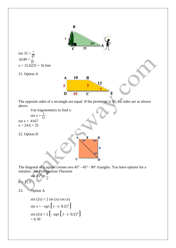

$$
\sin x = - \text{sqrt} \left[ 1 - (-0.2)^2 \right]
$$
  

$$
\sin (2x) = 2 \left[ - \text{sqrt} \left[ 1 - (-0.2)^2 \right] \right]
$$
  
= 0.39